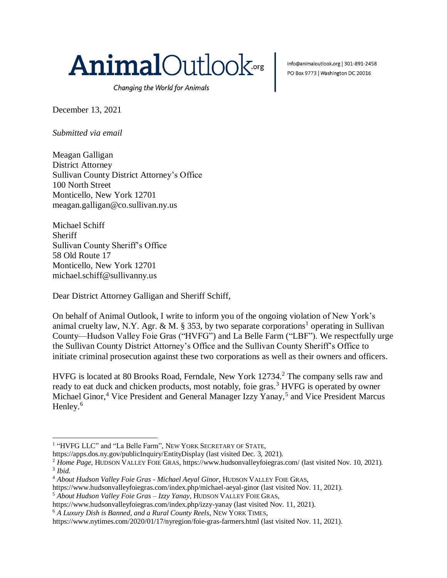

Changing the World for Animals

December 13, 2021

*Submitted via email*

Meagan Galligan District Attorney Sullivan County District Attorney's Office 100 North Street Monticello, New York 12701 meagan.galligan@co.sullivan.ny.us

Michael Schiff Sheriff Sullivan County Sheriff's Office 58 Old Route 17 Monticello, New York 12701 michael.schiff@sullivanny.us

 $\overline{a}$ 

Dear District Attorney Galligan and Sheriff Schiff,

On behalf of Animal Outlook, I write to inform you of the ongoing violation of New York's animal cruelty law, N.Y. Agr. & M. § 353, by two separate corporations<sup>1</sup> operating in Sullivan County—Hudson Valley Foie Gras ("HVFG") and La Belle Farm ("LBF"). We respectfully urge the Sullivan County District Attorney's Office and the Sullivan County Sheriff's Office to initiate criminal prosecution against these two corporations as well as their owners and officers.

HVFG is located at 80 Brooks Road, Ferndale, New York 12734.<sup>2</sup> The company sells raw and ready to eat duck and chicken products, most notably, foie gras.<sup>3</sup> HVFG is operated by owner Michael Ginor,<sup>4</sup> Vice President and General Manager Izzy Yanay,<sup>5</sup> and Vice President Marcus Henley.<sup>6</sup>

https://apps.dos.ny.gov/publicInquiry/EntityDisplay (last visited Dec. 3, 2021).

info@animaloutlook.org | 301-891-2458 PO Box 9773 | Washington DC 20016

<sup>&</sup>lt;sup>1</sup> "HVFG LLC" and "La Belle Farm", NEW YORK SECRETARY OF STATE,

<sup>&</sup>lt;sup>2</sup> *Home Page*, HUDSON VALLEY FOIE GRAS, https://www.hudsonvalleyfoiegras.com/ (last visited Nov. 10, 2021). 3 *Ibid.*

<sup>4</sup> *About Hudson Valley Foie Gras - Michael Aeyal Ginor*, HUDSON VALLEY FOIE GRAS,

https://www.hudsonvalleyfoiegras.com/index.php/michael-aeyal-ginor (last visited Nov. 11, 2021).

<sup>5</sup> *About Hudson Valley Foie Gras – Izzy Yanay*, HUDSON VALLEY FOIE GRAS,

https://www.hudsonvalleyfoiegras.com/index.php/izzy-yanay (last visited Nov. 11, 2021).

<sup>6</sup> *A Luxury Dish is Banned, and a Rural County Reels*, NEW YORK TIMES,

https://www.nytimes.com/2020/01/17/nyregion/foie-gras-farmers.html (last visited Nov. 11, 2021).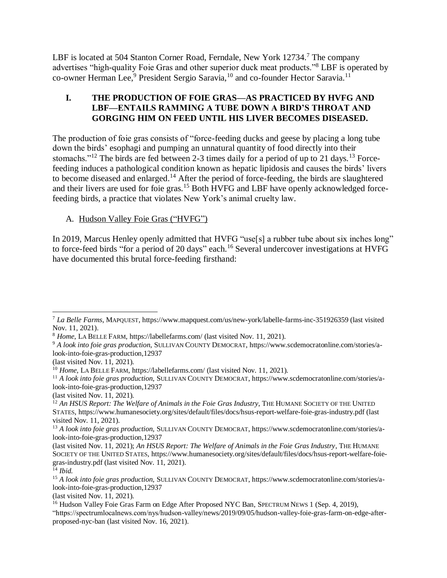LBF is located at 504 Stanton Corner Road, Ferndale, New York 12734.<sup>7</sup> The company advertises "high-quality Foie Gras and other superior duck meat products."<sup>8</sup> LBF is operated by co-owner Herman Lee,<sup>9</sup> President Sergio Saravia,<sup>10</sup> and co-founder Hector Saravia.<sup>11</sup>

### **I. THE PRODUCTION OF FOIE GRAS—AS PRACTICED BY HVFG AND LBF—ENTAILS RAMMING A TUBE DOWN A BIRD'S THROAT AND GORGING HIM ON FEED UNTIL HIS LIVER BECOMES DISEASED.**

The production of foie gras consists of "force-feeding ducks and geese by placing a long tube down the birds' esophagi and pumping an unnatural quantity of food directly into their stomachs."<sup>12</sup> The birds are fed between 2-3 times daily for a period of up to 21 days.<sup>13</sup> Forcefeeding induces a pathological condition known as hepatic lipidosis and causes the birds' livers to become diseased and enlarged.<sup>14</sup> After the period of force-feeding, the birds are slaughtered and their livers are used for foie gras.<sup>15</sup> Both HVFG and LBF have openly acknowledged forcefeeding birds, a practice that violates New York's animal cruelty law.

## A. Hudson Valley Foie Gras ("HVFG")

In 2019, Marcus Henley openly admitted that HVFG "use[s] a rubber tube about six inches long" to force-feed birds "for a period of 20 days" each.<sup>16</sup> Several undercover investigations at HVFG have documented this brutal force-feeding firsthand:

 $\overline{a}$ <sup>7</sup> *La Belle Farms*, MAPQUEST, https://www.mapquest.com/us/new-york/labelle-farms-inc-351926359 (last visited Nov. 11, 2021).

<sup>8</sup> *Home*, LA BELLE FARM, https://labellefarms.com/ (last visited Nov. 11, 2021).

<sup>9</sup> *A look into foie gras production*, SULLIVAN COUNTY DEMOCRAT, https://www.scdemocratonline.com/stories/alook-into-foie-gras-production,12937

<sup>(</sup>last visited Nov. 11, 2021).

<sup>&</sup>lt;sup>10</sup> *Home*, LA BELLE FARM, https://labellefarms.com/ (last visited Nov. 11, 2021).

<sup>11</sup> *A look into foie gras production*, SULLIVAN COUNTY DEMOCRAT, https://www.scdemocratonline.com/stories/alook-into-foie-gras-production,12937

<sup>(</sup>last visited Nov. 11, 2021).

<sup>12</sup> *An HSUS Report: The Welfare of Animals in the Foie Gras Industry*, THE HUMANE SOCIETY OF THE UNITED STATES, https://www.humanesociety.org/sites/default/files/docs/hsus-report-welfare-foie-gras-industry.pdf (last visited Nov. 11, 2021).

<sup>13</sup> *A look into foie gras production*, SULLIVAN COUNTY DEMOCRAT, https://www.scdemocratonline.com/stories/alook-into-foie-gras-production,12937

<sup>(</sup>last visited Nov. 11, 2021); *An HSUS Report: The Welfare of Animals in the Foie Gras Industry*, THE HUMANE SOCIETY OF THE UNITED STATES, https://www.humanesociety.org/sites/default/files/docs/hsus-report-welfare-foiegras-industry.pdf (last visited Nov. 11, 2021).

<sup>14</sup> *Ibid.*

<sup>15</sup> *A look into foie gras production*, SULLIVAN COUNTY DEMOCRAT, https://www.scdemocratonline.com/stories/alook-into-foie-gras-production,12937

<sup>(</sup>last visited Nov. 11, 2021).

<sup>&</sup>lt;sup>16</sup> Hudson Valley Foie Gras Farm on Edge After Proposed NYC Ban, SPECTRUM NEWS 1 (Sep. 4, 2019), "https://spectrumlocalnews.com/nys/hudson-valley/news/2019/09/05/hudson-valley-foie-gras-farm-on-edge-afterproposed-nyc-ban (last visited Nov. 16, 2021).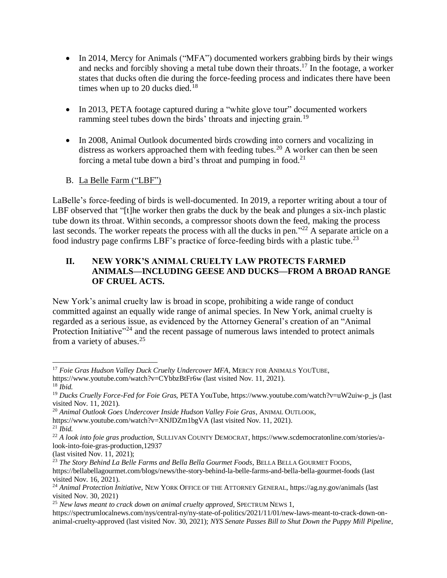- In 2014, Mercy for Animals ("MFA") documented workers grabbing birds by their wings and necks and forcibly shoving a metal tube down their throats. <sup>17</sup> In the footage, a worker states that ducks often die during the force-feeding process and indicates there have been times when up to 20 ducks died.<sup>18</sup>
- In 2013, PETA footage captured during a "white glove tour" documented workers ramming steel tubes down the birds' throats and injecting grain.<sup>19</sup>
- In 2008, Animal Outlook documented birds crowding into corners and vocalizing in distress as workers approached them with feeding tubes.<sup>20</sup> A worker can then be seen forcing a metal tube down a bird's throat and pumping in food.<sup>21</sup>
- B. La Belle Farm ("LBF")

LaBelle's force-feeding of birds is well-documented. In 2019, a reporter writing about a tour of LBF observed that "[t]he worker then grabs the duck by the beak and plunges a six-inch plastic tube down its throat. Within seconds, a compressor shoots down the feed, making the process last seconds. The worker repeats the process with all the ducks in pen."<sup>22</sup> A separate article on a food industry page confirms LBF's practice of force-feeding birds with a plastic tube.<sup>23</sup>

## **II. NEW YORK'S ANIMAL CRUELTY LAW PROTECTS FARMED ANIMALS—INCLUDING GEESE AND DUCKS—FROM A BROAD RANGE OF CRUEL ACTS.**

New York's animal cruelty law is broad in scope, prohibiting a wide range of conduct committed against an equally wide range of animal species. In New York, animal cruelty is regarded as a serious issue, as evidenced by the Attorney General's creation of an "Animal Protection Initiative"<sup>24</sup> and the recent passage of numerous laws intended to protect animals from a variety of abuses.<sup>25</sup>

<sup>20</sup> *Animal Outlook Goes Undercover Inside Hudson Valley Foie Gras*, ANIMAL OUTLOOK,

(last visited Nov. 11, 2021);

 <sup>17</sup> Foie Gras Hudson Valley Duck Cruelty Undercover MFA, MERCY FOR ANIMALS YOUTUBE, https://www.youtube.com/watch?v=CYbbzBtFr6w (last visited Nov. 11, 2021). <sup>18</sup> *Ibid.*

<sup>19</sup> *Ducks Cruelly Force-Fed for Foie Gras*, PETA YouTube, https://www.youtube.com/watch?v=uW2uiw-p\_js (last visited Nov. 11, 2021).

https://www.youtube.com/watch?v=XNJDZm1bgVA (last visited Nov. 11, 2021).

<sup>21</sup> *Ibid.*

<sup>22</sup> *A look into foie gras production*, SULLIVAN COUNTY DEMOCRAT, https://www.scdemocratonline.com/stories/alook-into-foie-gras-production,12937

<sup>23</sup> *The Story Behind La Belle Farms and Bella Bella Gourmet Foods*, BELLA BELLA GOURMET FOODS, https://bellabellagourmet.com/blogs/news/the-story-behind-la-belle-farms-and-bella-bella-gourmet-foods (last visited Nov. 16, 2021).

<sup>&</sup>lt;sup>24</sup> Animal Protection Initiative, NEW YORK OFFICE OF THE ATTORNEY GENERAL, https://ag.ny.gov/animals (last visited Nov. 30, 2021)

<sup>25</sup> *New laws meant to crack down on animal cruelty approved*, SPECTRUM NEWS 1,

https://spectrumlocalnews.com/nys/central-ny/ny-state-of-politics/2021/11/01/new-laws-meant-to-crack-down-onanimal-cruelty-approved (last visited Nov. 30, 2021); *NYS Senate Passes Bill to Shut Down the Puppy Mill Pipeline*,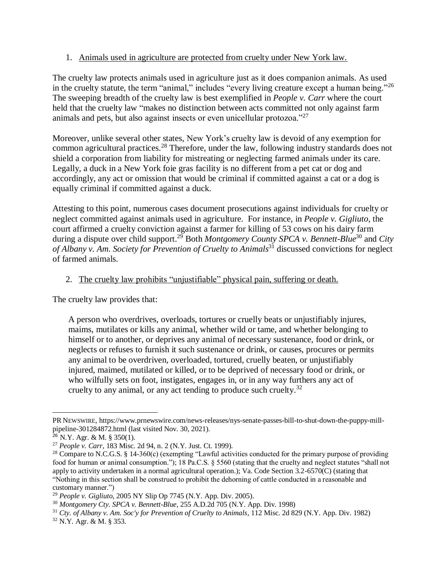#### 1. Animals used in agriculture are protected from cruelty under New York law.

The cruelty law protects animals used in agriculture just as it does companion animals. As used in the cruelty statute, the term "animal," includes "every living creature except a human being."<sup>26</sup> The sweeping breadth of the cruelty law is best exemplified in *People v. Carr* where the court held that the cruelty law "makes no distinction between acts committed not only against farm animals and pets, but also against insects or even unicellular protozoa."<sup>27</sup>

Moreover, unlike several other states, New York's cruelty law is devoid of any exemption for common agricultural practices.<sup>28</sup> Therefore, under the law, following industry standards does not shield a corporation from liability for mistreating or neglecting farmed animals under its care. Legally, a duck in a New York foie gras facility is no different from a pet cat or dog and accordingly, any act or omission that would be criminal if committed against a cat or a dog is equally criminal if committed against a duck.

Attesting to this point, numerous cases document prosecutions against individuals for cruelty or neglect committed against animals used in agriculture. For instance, in *People v. Gigliuto*, the court affirmed a cruelty conviction against a farmer for killing of 53 cows on his dairy farm during a dispute over child support.<sup>29</sup> Both *Montgomery County SPCA v. Bennett-Blue*<sup>30</sup> and *City of Albany v. Am. Society for Prevention of Cruelty to Animals*<sup>31</sup> discussed convictions for neglect of farmed animals.

#### 2. The cruelty law prohibits "unjustifiable" physical pain, suffering or death.

The cruelty law provides that:

A person who overdrives, overloads, tortures or cruelly beats or unjustifiably injures, maims, mutilates or kills any animal, whether wild or tame, and whether belonging to himself or to another, or deprives any animal of necessary sustenance, food or drink, or neglects or refuses to furnish it such sustenance or drink, or causes, procures or permits any animal to be overdriven, overloaded, tortured, cruelly beaten, or unjustifiably injured, maimed, mutilated or killed, or to be deprived of necessary food or drink, or who wilfully sets on foot, instigates, engages in, or in any way furthers any act of cruelty to any animal, or any act tending to produce such cruelty. $32$ 

 $\overline{a}$ 

PR NEWSWIRE, https://www.prnewswire.com/news-releases/nys-senate-passes-bill-to-shut-down-the-puppy-millpipeline-301284872.html (last visited Nov. 30, 2021).

 $26$  N.Y. Agr. & M. § 350(1).

<sup>27</sup> *People v. Carr*, 183 Misc. 2d 94, n. 2 (N.Y. Just. Ct. 1999).

<sup>&</sup>lt;sup>28</sup> Compare to N.C.G.S. § 14-360(c) (exempting "Lawful activities conducted for the primary purpose of providing food for human or animal consumption."); 18 Pa.C.S. § 5560 (stating that the cruelty and neglect statutes "shall not apply to activity undertaken in a normal agricultural operation.); Va. Code Section 3.2-6570(C) (stating that "Nothing in this section shall be construed to prohibit the dehorning of cattle conducted in a reasonable and customary manner.")

<sup>29</sup> *People v. Gigliuto*, 2005 NY Slip Op 7745 (N.Y. App. Div. 2005).

<sup>30</sup> *Montgomery Cty. SPCA v. Bennett-Blue*, 255 A.D.2d 705 (N.Y. App. Div. 1998)

<sup>31</sup> *Cty. of Albany v. Am. Soc'y for Prevention of Cruelty to Animals*, 112 Misc. 2d 829 (N.Y. App. Div. 1982)

<sup>32</sup> N.Y. Agr. & M. § 353.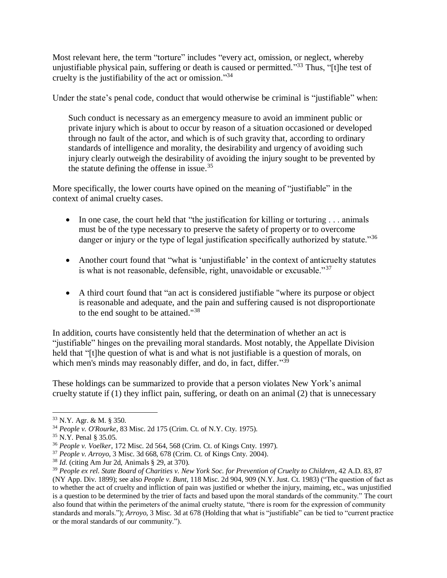Most relevant here, the term "torture" includes "every act, omission, or neglect, whereby unjustifiable physical pain, suffering or death is caused or permitted."<sup>33</sup> Thus, "[t]he test of cruelty is the justifiability of the act or omission."<sup>34</sup>

Under the state's penal code, conduct that would otherwise be criminal is "justifiable" when:

Such conduct is necessary as an emergency measure to avoid an imminent public or private injury which is about to occur by reason of a situation occasioned or developed through no fault of the actor, and which is of such gravity that, according to ordinary standards of intelligence and morality, the desirability and urgency of avoiding such injury clearly outweigh the desirability of avoiding the injury sought to be prevented by the statute defining the offense in issue. 35

More specifically, the lower courts have opined on the meaning of "justifiable" in the context of animal cruelty cases.

- In one case, the court held that "the justification for killing or torturing . . . animals must be of the type necessary to preserve the safety of property or to overcome danger or injury or the type of legal justification specifically authorized by statute."<sup>36</sup>
- Another court found that "what is 'unjustifiable' in the context of anticruelty statutes is what is not reasonable, defensible, right, unavoidable or excusable."<sup>37</sup>
- A third court found that "an act is considered justifiable "where its purpose or object is reasonable and adequate, and the pain and suffering caused is not disproportionate to the end sought to be attained."<sup>38</sup>

In addition, courts have consistently held that the determination of whether an act is "justifiable" hinges on the prevailing moral standards. Most notably, the Appellate Division held that "[t]he question of what is and what is not justifiable is a question of morals, on which men's minds may reasonably differ, and do, in fact, differ."39

These holdings can be summarized to provide that a person violates New York's animal cruelty statute if (1) they inflict pain, suffering, or death on an animal (2) that is unnecessary

 $\overline{a}$ 

<sup>33</sup> N.Y. Agr. & M. § 350.

<sup>34</sup> *People v. O'Rourke*, 83 Misc. 2d 175 (Crim. Ct. of N.Y. Cty. 1975).

<sup>35</sup> N.Y. Penal § 35.05.

<sup>36</sup> *People v. Voelker*, 172 Misc. 2d 564, 568 (Crim. Ct. of Kings Cnty. 1997).

<sup>37</sup> *People v. Arroyo*, 3 Misc. 3d 668, 678 (Crim. Ct. of Kings Cnty. 2004).

<sup>38</sup> *Id.* (citing Am Jur 2d, Animals § 29, at 370).

<sup>39</sup> *People ex rel. State Board of Charities v. New York Soc. for Prevention of Cruelty to Children*, 42 A.D. 83, 87 (NY App. Div. 1899); see also *People v. Bunt*, 118 Misc. 2d 904, 909 (N.Y. Just. Ct. 1983) ("The question of fact as to whether the act of cruelty and infliction of pain was justified or whether the injury, maiming, etc., was unjustified is a question to be determined by the trier of facts and based upon the moral standards of the community." The court also found that within the perimeters of the animal cruelty statute, "there is room for the expression of community standards and morals."); *Arroyo*, 3 Misc. 3d at 678 (Holding that what is "justifiable" can be tied to "current practice or the moral standards of our community.").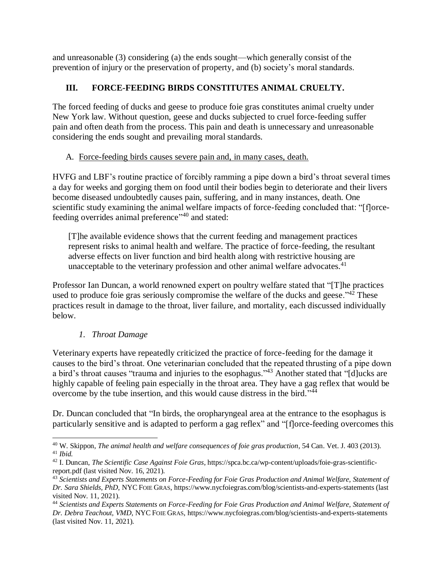and unreasonable (3) considering (a) the ends sought—which generally consist of the prevention of injury or the preservation of property, and (b) society's moral standards.

# **III. FORCE-FEEDING BIRDS CONSTITUTES ANIMAL CRUELTY.**

The forced feeding of ducks and geese to produce foie gras constitutes animal cruelty under New York law. Without question, geese and ducks subjected to cruel force-feeding suffer pain and often death from the process. This pain and death is unnecessary and unreasonable considering the ends sought and prevailing moral standards.

# A. Force-feeding birds causes severe pain and, in many cases, death.

HVFG and LBF's routine practice of forcibly ramming a pipe down a bird's throat several times a day for weeks and gorging them on food until their bodies begin to deteriorate and their livers become diseased undoubtedly causes pain, suffering, and in many instances, death. One scientific study examining the animal welfare impacts of force-feeding concluded that: "[f]orcefeeding overrides animal preference"<sup>40</sup> and stated:

[T]he available evidence shows that the current feeding and management practices represent risks to animal health and welfare. The practice of force-feeding, the resultant adverse effects on liver function and bird health along with restrictive housing are unacceptable to the veterinary profession and other animal welfare advocates.<sup>41</sup>

Professor Ian Duncan, a world renowned expert on poultry welfare stated that "[T]he practices used to produce foie gras seriously compromise the welfare of the ducks and geese.<sup>342</sup> These practices result in damage to the throat, liver failure, and mortality, each discussed individually below.

# *1. Throat Damage*

Veterinary experts have repeatedly criticized the practice of force-feeding for the damage it causes to the bird's throat. One veterinarian concluded that the repeated thrusting of a pipe down a bird's throat causes "trauma and injuries to the esophagus."<sup>43</sup> Another stated that "[d]ucks are highly capable of feeling pain especially in the throat area. They have a gag reflex that would be overcome by the tube insertion, and this would cause distress in the bird."<sup>44</sup>

Dr. Duncan concluded that "In birds, the oropharyngeal area at the entrance to the esophagus is particularly sensitive and is adapted to perform a gag reflex" and "[f]orce-feeding overcomes this

 $\overline{a}$ <sup>40</sup> W. Skippon, *The animal health and welfare consequences of foie gras production*, 54 Can. Vet. J. 403 (2013). <sup>41</sup> *Ibid.*

<sup>42</sup> I. Duncan, *The Scientific Case Against Foie Gras*, https://spca.bc.ca/wp-content/uploads/foie-gras-scientificreport.pdf (last visited Nov. 16, 2021).

<sup>43</sup> *Scientists and Experts Statements on Force-Feeding for Foie Gras Production and Animal Welfare, Statement of Dr. Sara Shields, PhD*, NYC FOIE GRAS, https://www.nycfoiegras.com/blog/scientists-and-experts-statements (last visited Nov. 11, 2021).

<sup>44</sup> *Scientists and Experts Statements on Force-Feeding for Foie Gras Production and Animal Welfare, Statement of Dr. Debra Teachout, VMD*, NYC FOIE GRAS, https://www.nycfoiegras.com/blog/scientists-and-experts-statements (last visited Nov. 11, 2021).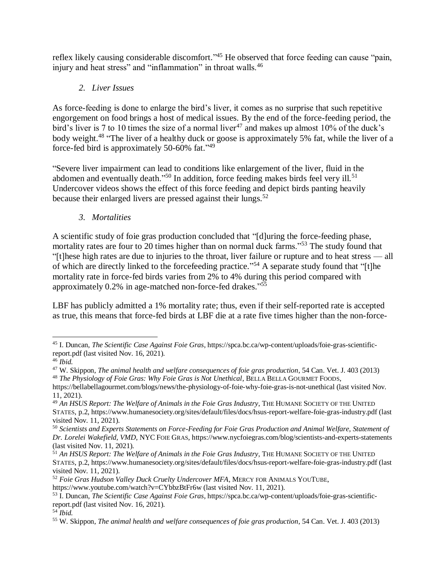reflex likely causing considerable discomfort."<sup>45</sup> He observed that force feeding can cause "pain, injury and heat stress" and "inflammation" in throat walls.<sup>46</sup>

# *2. Liver Issues*

As force-feeding is done to enlarge the bird's liver, it comes as no surprise that such repetitive engorgement on food brings a host of medical issues. By the end of the force-feeding period, the bird's liver is 7 to 10 times the size of a normal liver<sup>47</sup> and makes up almost 10% of the duck's body weight.<sup>48</sup> "The liver of a healthy duck or goose is approximately 5% fat, while the liver of a force-fed bird is approximately 50-60% fat."<sup>49</sup>

"Severe liver impairment can lead to conditions like enlargement of the liver, fluid in the abdomen and eventually death."<sup>50</sup> In addition, force feeding makes birds feel very ill.<sup>51</sup> Undercover videos shows the effect of this force feeding and depict birds panting heavily because their enlarged livers are pressed against their lungs.<sup>52</sup>

*3. Mortalities* 

A scientific study of foie gras production concluded that "[d]uring the force-feeding phase, mortality rates are four to 20 times higher than on normal duck farms."<sup>53</sup> The study found that "[t]hese high rates are due to injuries to the throat, liver failure or rupture and to heat stress — all of which are directly linked to the forcefeeding practice."<sup>54</sup> A separate study found that "[t]he mortality rate in force-fed birds varies from 2% to 4% during this period compared with approximately 0.2% in age-matched non-force-fed drakes."<sup>55</sup>

LBF has publicly admitted a 1% mortality rate; thus, even if their self-reported rate is accepted as true, this means that force-fed birds at LBF die at a rate five times higher than the non-force-

 $\overline{a}$ <sup>45</sup> I. Duncan, *The Scientific Case Against Foie Gras*, https://spca.bc.ca/wp-content/uploads/foie-gras-scientificreport.pdf (last visited Nov. 16, 2021).

<sup>46</sup> *Ibid.*

<sup>47</sup> W. Skippon, *The animal health and welfare consequences of foie gras production*, 54 Can. Vet. J. 403 (2013) <sup>48</sup> *The Physiology of Foie Gras: Why Foie Gras is Not Unethical*, BELLA BELLA GOURMET FOODS,

https://bellabellagourmet.com/blogs/news/the-physiology-of-foie-why-foie-gras-is-not-unethical (last visited Nov. 11, 2021).

<sup>49</sup> *An HSUS Report: The Welfare of Animals in the Foie Gras Industry*, THE HUMANE SOCIETY OF THE UNITED STATES, p.2, https://www.humanesociety.org/sites/default/files/docs/hsus-report-welfare-foie-gras-industry.pdf (last visited Nov. 11, 2021).

<sup>50</sup> *Scientists and Experts Statements on Force-Feeding for Foie Gras Production and Animal Welfare, Statement of Dr. Lorelei Wakefield, VMD*, NYC FOIE GRAS, https://www.nycfoiegras.com/blog/scientists-and-experts-statements (last visited Nov. 11, 2021).

<sup>51</sup> *An HSUS Report: The Welfare of Animals in the Foie Gras Industry*, THE HUMANE SOCIETY OF THE UNITED STATES, p.2, https://www.humanesociety.org/sites/default/files/docs/hsus-report-welfare-foie-gras-industry.pdf (last visited Nov. 11, 2021).

<sup>52</sup> *Foie Gras Hudson Valley Duck Cruelty Undercover MFA*, MERCY FOR ANIMALS YOUTUBE,

https://www.youtube.com/watch?v=CYbbzBtFr6w (last visited Nov. 11, 2021).

<sup>53</sup> I. Duncan, *The Scientific Case Against Foie Gras*, https://spca.bc.ca/wp-content/uploads/foie-gras-scientificreport.pdf (last visited Nov. 16, 2021).

<sup>54</sup> *Ibid.*

<sup>55</sup> W. Skippon, *The animal health and welfare consequences of foie gras production*, 54 Can. Vet. J. 403 (2013)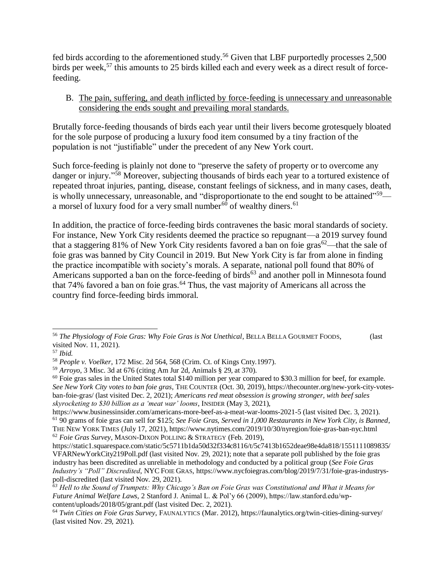fed birds according to the aforementioned study.<sup>56</sup> Given that LBF purportedly processes 2,500 birds per week,<sup>57</sup> this amounts to 25 birds killed each and every week as a direct result of forcefeeding.

#### B. The pain, suffering, and death inflicted by force-feeding is unnecessary and unreasonable considering the ends sought and prevailing moral standards.

Brutally force-feeding thousands of birds each year until their livers become grotesquely bloated for the sole purpose of producing a luxury food item consumed by a tiny fraction of the population is not "justifiable" under the precedent of any New York court.

Such force-feeding is plainly not done to "preserve the safety of property or to overcome any danger or injury."<sup>58</sup> Moreover, subjecting thousands of birds each year to a tortured existence of repeated throat injuries, panting, disease, constant feelings of sickness, and in many cases, death, is wholly unnecessary, unreasonable, and "disproportionate to the end sought to be attained"<sup>59</sup> a morsel of luxury food for a very small number<sup>60</sup> of wealthy diners.<sup>61</sup>

In addition, the practice of force-feeding birds contravenes the basic moral standards of society. For instance, New York City residents deemed the practice so repugnant—a 2019 survey found that a staggering 81% of New York City residents favored a ban on foie gras<sup>62</sup>—that the sale of foie gras was banned by City Council in 2019. But New York City is far from alone in finding the practice incompatible with society's morals. A separate, national poll found that 80% of Americans supported a ban on the force-feeding of birds<sup>63</sup> and another poll in Minnesota found that 74% favored a ban on foie gras.<sup>64</sup> Thus, the vast majority of Americans all across the country find force-feeding birds immoral.

<sup>56</sup> *The Physiology of Foie Gras: Why Foie Gras is Not Unethical*, BELLA BELLA GOURMET FOODS, (last visited Nov. 11, 2021).

<sup>57</sup> *Ibid.*

<sup>58</sup> *People v. Voelker*, 172 Misc. 2d 564, 568 (Crim. Ct. of Kings Cnty.1997).

<sup>59</sup> *Arroyo*, 3 Misc. 3d at 676 (citing Am Jur 2d, Animals § 29, at 370).

 $60$  Foie gras sales in the United States total \$140 million per year compared to \$30.3 million for beef, for example. *See New York City votes to ban foie gras*, THE COUNTER (Oct. 30, 2019), https://thecounter.org/new-york-city-votesban-foie-gras/ (last visited Dec. 2, 2021); *Americans red meat obsession is growing stronger, with beef sales skyrocketing to \$30 billion as a 'meat war' looms*, INSIDER (May 3, 2021),

https://www.businessinsider.com/americans-more-beef-as-a-meat-war-looms-2021-5 (last visited Dec. 3, 2021). <sup>61</sup> 90 grams of foie gras can sell for \$125; *See Foie Gras, Served in 1,000 Restaurants in New York City, is Banned*, THE NEW YORK TIMES (July 17, 2021), https://www.nytimes.com/2019/10/30/nyregion/foie-gras-ban-nyc.html <sup>62</sup> *Foie Gras Survey*, MASON-DIXON POLLING & STRATEGY (Feb. 2019),

https://static1.squarespace.com/static/5c5711b1da50d32f334c8116/t/5c7413b1652deae98e4da818/1551111089835/ VFARNewYorkCity219Poll.pdf (last visited Nov. 29, 2021); note that a separate poll published by the foie gras industry has been discredited as unreliable in methodology and conducted by a political group (*See Foie Gras Industry's "Poll" Discredited*, NYC FOIE GRAS, https://www.nycfoiegras.com/blog/2019/7/31/foie-gras-industryspoll-discredited (last visited Nov. 29, 2021).

*<sup>63</sup> Hell to the Sound of Trumpets: Why Chicago's Ban on Foie Gras was Constitutional and What it Means for Future Animal Welfare Laws*, 2 Stanford J. Animal L. & Pol'y 66 (2009), https://law.stanford.edu/wpcontent/uploads/2018/05/grant.pdf (last visited Dec. 2, 2021).

<sup>64</sup> *Twin Cities on Foie Gras Survey*, FAUNALYTICS (Mar. 2012), https://faunalytics.org/twin-cities-dining-survey/ (last visited Nov. 29, 2021).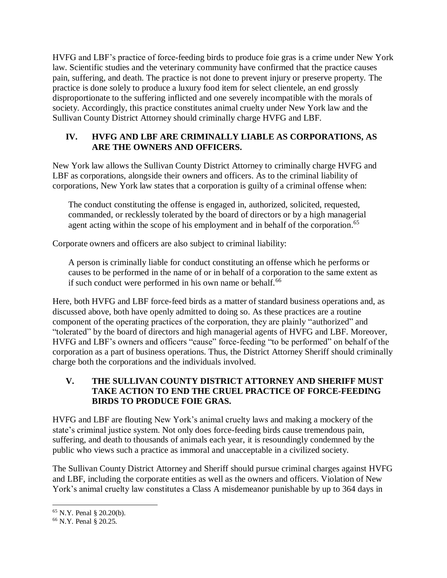HVFG and LBF's practice of force-feeding birds to produce foie gras is a crime under New York law. Scientific studies and the veterinary community have confirmed that the practice causes pain, suffering, and death. The practice is not done to prevent injury or preserve property. The practice is done solely to produce a luxury food item for select clientele, an end grossly disproportionate to the suffering inflicted and one severely incompatible with the morals of society. Accordingly, this practice constitutes animal cruelty under New York law and the Sullivan County District Attorney should criminally charge HVFG and LBF.

# **IV. HVFG AND LBF ARE CRIMINALLY LIABLE AS CORPORATIONS, AS ARE THE OWNERS AND OFFICERS.**

New York law allows the Sullivan County District Attorney to criminally charge HVFG and LBF as corporations, alongside their owners and officers. As to the criminal liability of corporations, New York law states that a corporation is guilty of a criminal offense when:

The conduct constituting the offense is engaged in, authorized, solicited, requested, commanded, or recklessly tolerated by the board of directors or by a high managerial agent acting within the scope of his employment and in behalf of the corporation.<sup>65</sup>

Corporate owners and officers are also subject to criminal liability:

A person is criminally liable for conduct constituting an offense which he performs or causes to be performed in the name of or in behalf of a corporation to the same extent as if such conduct were performed in his own name or behalf.<sup>66</sup>

Here, both HVFG and LBF force-feed birds as a matter of standard business operations and, as discussed above, both have openly admitted to doing so. As these practices are a routine component of the operating practices of the corporation, they are plainly "authorized" and "tolerated" by the board of directors and high managerial agents of HVFG and LBF. Moreover, HVFG and LBF's owners and officers "cause" force-feeding "to be performed" on behalf of the corporation as a part of business operations. Thus, the District Attorney Sheriff should criminally charge both the corporations and the individuals involved.

## **V. THE SULLIVAN COUNTY DISTRICT ATTORNEY AND SHERIFF MUST TAKE ACTION TO END THE CRUEL PRACTICE OF FORCE-FEEDING BIRDS TO PRODUCE FOIE GRAS.**

HVFG and LBF are flouting New York's animal cruelty laws and making a mockery of the state's criminal justice system. Not only does force-feeding birds cause tremendous pain, suffering, and death to thousands of animals each year, it is resoundingly condemned by the public who views such a practice as immoral and unacceptable in a civilized society.

The Sullivan County District Attorney and Sheriff should pursue criminal charges against HVFG and LBF, including the corporate entities as well as the owners and officers. Violation of New York's animal cruelty law constitutes a Class A misdemeanor punishable by up to 364 days in

 <sup>65</sup> N.Y. Penal § 20.20(b).

<sup>66</sup> N.Y. Penal § 20.25.